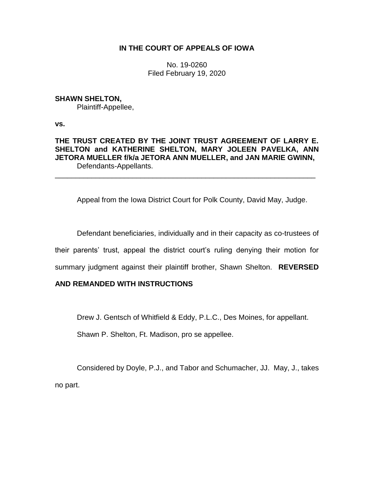## **IN THE COURT OF APPEALS OF IOWA**

No. 19-0260 Filed February 19, 2020

## **SHAWN SHELTON,**

Plaintiff-Appellee,

**vs.**

# **THE TRUST CREATED BY THE JOINT TRUST AGREEMENT OF LARRY E. SHELTON and KATHERINE SHELTON, MARY JOLEEN PAVELKA, ANN JETORA MUELLER f/k/a JETORA ANN MUELLER, and JAN MARIE GWINN,** Defendants-Appellants.

\_\_\_\_\_\_\_\_\_\_\_\_\_\_\_\_\_\_\_\_\_\_\_\_\_\_\_\_\_\_\_\_\_\_\_\_\_\_\_\_\_\_\_\_\_\_\_\_\_\_\_\_\_\_\_\_\_\_\_\_\_\_\_\_

Appeal from the Iowa District Court for Polk County, David May, Judge.

Defendant beneficiaries, individually and in their capacity as co-trustees of their parents' trust, appeal the district court's ruling denying their motion for summary judgment against their plaintiff brother, Shawn Shelton. **REVERSED** 

# **AND REMANDED WITH INSTRUCTIONS**

Drew J. Gentsch of Whitfield & Eddy, P.L.C., Des Moines, for appellant.

Shawn P. Shelton, Ft. Madison, pro se appellee.

Considered by Doyle, P.J., and Tabor and Schumacher, JJ. May, J., takes no part.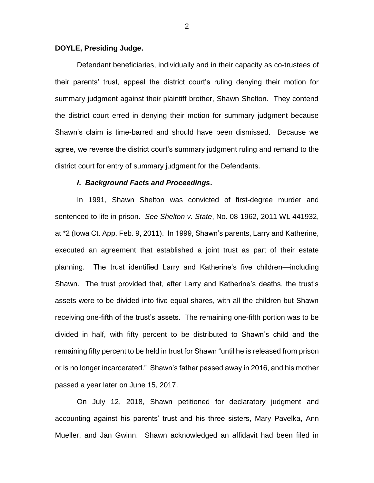#### **DOYLE, Presiding Judge.**

Defendant beneficiaries, individually and in their capacity as co-trustees of their parents' trust, appeal the district court's ruling denying their motion for summary judgment against their plaintiff brother, Shawn Shelton. They contend the district court erred in denying their motion for summary judgment because Shawn's claim is time-barred and should have been dismissed. Because we agree, we reverse the district court's summary judgment ruling and remand to the district court for entry of summary judgment for the Defendants.

#### *I***.** *Background Facts and Proceedings***.**

In 1991, Shawn Shelton was convicted of first-degree murder and sentenced to life in prison. *See Shelton v. State*, No. 08-1962, 2011 WL 441932, at \*2 (Iowa Ct. App. Feb. 9, 2011). In 1999, Shawn's parents, Larry and Katherine, executed an agreement that established a joint trust as part of their estate planning. The trust identified Larry and Katherine's five children—including Shawn. The trust provided that, after Larry and Katherine's deaths, the trust's assets were to be divided into five equal shares, with all the children but Shawn receiving one-fifth of the trust's assets. The remaining one-fifth portion was to be divided in half, with fifty percent to be distributed to Shawn's child and the remaining fifty percent to be held in trust for Shawn "until he is released from prison or is no longer incarcerated." Shawn's father passed away in 2016, and his mother passed a year later on June 15, 2017.

On July 12, 2018, Shawn petitioned for declaratory judgment and accounting against his parents' trust and his three sisters, Mary Pavelka, Ann Mueller, and Jan Gwinn. Shawn acknowledged an affidavit had been filed in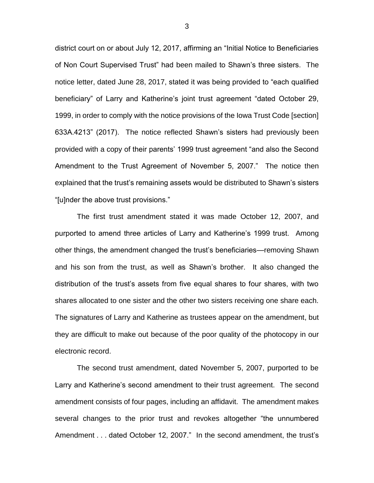district court on or about July 12, 2017, affirming an "Initial Notice to Beneficiaries of Non Court Supervised Trust" had been mailed to Shawn's three sisters. The notice letter, dated June 28, 2017, stated it was being provided to "each qualified beneficiary" of Larry and Katherine's joint trust agreement "dated October 29, 1999, in order to comply with the notice provisions of the Iowa Trust Code [section] 633A.4213" (2017). The notice reflected Shawn's sisters had previously been provided with a copy of their parents' 1999 trust agreement "and also the Second Amendment to the Trust Agreement of November 5, 2007." The notice then explained that the trust's remaining assets would be distributed to Shawn's sisters "[u]nder the above trust provisions."

The first trust amendment stated it was made October 12, 2007, and purported to amend three articles of Larry and Katherine's 1999 trust. Among other things, the amendment changed the trust's beneficiaries—removing Shawn and his son from the trust, as well as Shawn's brother. It also changed the distribution of the trust's assets from five equal shares to four shares, with two shares allocated to one sister and the other two sisters receiving one share each. The signatures of Larry and Katherine as trustees appear on the amendment, but they are difficult to make out because of the poor quality of the photocopy in our electronic record.

The second trust amendment, dated November 5, 2007, purported to be Larry and Katherine's second amendment to their trust agreement. The second amendment consists of four pages, including an affidavit. The amendment makes several changes to the prior trust and revokes altogether "the unnumbered Amendment . . . dated October 12, 2007." In the second amendment, the trust's

3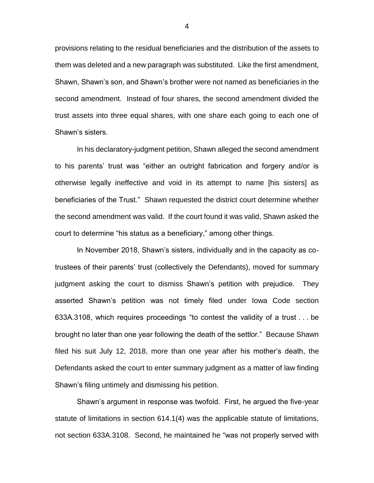provisions relating to the residual beneficiaries and the distribution of the assets to them was deleted and a new paragraph was substituted. Like the first amendment, Shawn, Shawn's son, and Shawn's brother were not named as beneficiaries in the second amendment. Instead of four shares, the second amendment divided the trust assets into three equal shares, with one share each going to each one of Shawn's sisters.

In his declaratory-judgment petition, Shawn alleged the second amendment to his parents' trust was "either an outright fabrication and forgery and/or is otherwise legally ineffective and void in its attempt to name [his sisters] as beneficiaries of the Trust." Shawn requested the district court determine whether the second amendment was valid. If the court found it was valid, Shawn asked the court to determine "his status as a beneficiary," among other things.

In November 2018, Shawn's sisters, individually and in the capacity as cotrustees of their parents' trust (collectively the Defendants), moved for summary judgment asking the court to dismiss Shawn's petition with prejudice. They asserted Shawn's petition was not timely filed under Iowa Code section 633A.3108, which requires proceedings "to contest the validity of a trust . . . be brought no later than one year following the death of the settlor." Because Shawn filed his suit July 12, 2018, more than one year after his mother's death, the Defendants asked the court to enter summary judgment as a matter of law finding Shawn's filing untimely and dismissing his petition.

Shawn's argument in response was twofold. First, he argued the five-year statute of limitations in section 614.1(4) was the applicable statute of limitations, not section 633A.3108. Second, he maintained he "was not properly served with

4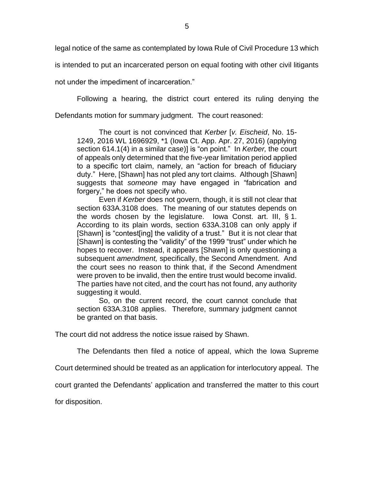legal notice of the same as contemplated by Iowa Rule of Civil Procedure 13 which

is intended to put an incarcerated person on equal footing with other civil litigants

not under the impediment of incarceration."

Following a hearing, the district court entered its ruling denying the

Defendants motion for summary judgment. The court reasoned:

The court is not convinced that *Kerber* [*v. Eischeid*, No. 15- 1249, 2016 WL 1696929, \*1 (Iowa Ct. App. Apr. 27, 2016) (applying section 614.1(4) in a similar case)] is "on point." In *Kerber,* the court of appeals only determined that the five-year limitation period applied to a specific tort claim, namely, an "action for breach of fiduciary duty." Here, [Shawn] has not pled any tort claims. Although [Shawn] suggests that *someone* may have engaged in "fabrication and forgery," he does not specify who.

Even if *Kerber* does not govern, though, it is still not clear that section 633A.3108 does. The meaning of our statutes depends on the words chosen by the legislature. Iowa Const. art. III, § 1. According to its plain words, section 633A.3108 can only apply if [Shawn] is "contest[ing] the validity of a trust." But it is not clear that [Shawn] is contesting the "validity" of the 1999 "trust" under which he hopes to recover. Instead, it appears [Shawn] is only questioning a subsequent *amendment,* specifically, the Second Amendment. And the court sees no reason to think that, if the Second Amendment were proven to be invalid, then the entire trust would become invalid. The parties have not cited, and the court has not found, any authority suggesting it would.

So, on the current record, the court cannot conclude that section 633A.3108 applies. Therefore, summary judgment cannot be granted on that basis.

The court did not address the notice issue raised by Shawn.

The Defendants then filed a notice of appeal, which the Iowa Supreme

Court determined should be treated as an application for interlocutory appeal. The

court granted the Defendants' application and transferred the matter to this court

for disposition.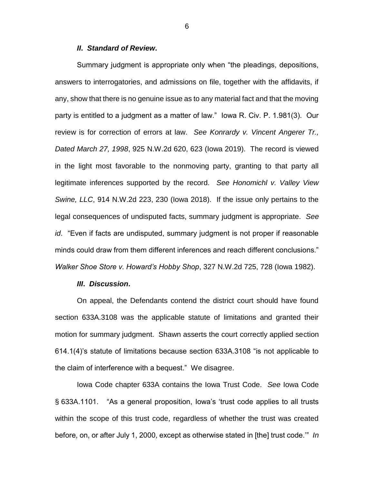#### *II***.** *Standard of Review***.**

Summary judgment is appropriate only when "the pleadings, depositions, answers to interrogatories, and admissions on file, together with the affidavits, if any, show that there is no genuine issue as to any material fact and that the moving party is entitled to a judgment as a matter of law." Iowa R. Civ. P. 1.981(3). Our review is for correction of errors at law. *See Konrardy v. Vincent Angerer Tr., Dated March 27, 1998*, 925 N.W.2d 620, 623 (Iowa 2019). The record is viewed in the light most favorable to the nonmoving party, granting to that party all legitimate inferences supported by the record. *See Honomichl v. Valley View Swine, LLC*, 914 N.W.2d 223, 230 (Iowa 2018). If the issue only pertains to the legal consequences of undisputed facts, summary judgment is appropriate. *See id*. "Even if facts are undisputed, summary judgment is not proper if reasonable minds could draw from them different inferences and reach different conclusions." *Walker Shoe Store v. Howard's Hobby Shop*, 327 N.W.2d 725, 728 (Iowa 1982).

#### *III***.** *Discussion***.**

On appeal, the Defendants contend the district court should have found section 633A.3108 was the applicable statute of limitations and granted their motion for summary judgment. Shawn asserts the court correctly applied section 614.1(4)'s statute of limitations because section 633A.3108 "is not applicable to the claim of interference with a bequest." We disagree.

Iowa Code chapter 633A contains the Iowa Trust Code. *See* Iowa Code § 633A.1101. "As a general proposition, Iowa's 'trust code applies to all trusts within the scope of this trust code, regardless of whether the trust was created before, on, or after July 1, 2000, except as otherwise stated in [the] trust code.'" *In* 

6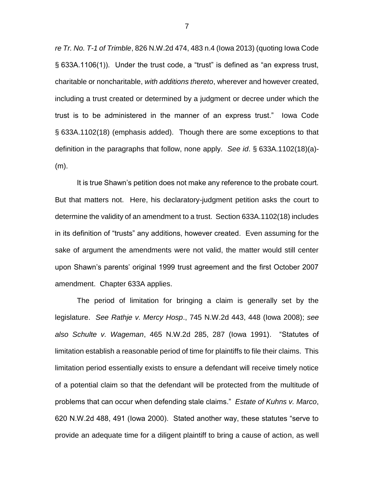*re Tr. No. T-1 of Trimble*, 826 N.W.2d 474, 483 n.4 (Iowa 2013) (quoting Iowa Code § 633A.1106(1)). Under the trust code, a "trust" is defined as "an express trust, charitable or noncharitable, *with additions thereto*, wherever and however created, including a trust created or determined by a judgment or decree under which the trust is to be administered in the manner of an express trust." Iowa Code § 633A.1102(18) (emphasis added). Though there are some exceptions to that definition in the paragraphs that follow, none apply. *See id*. § 633A.1102(18)(a)- (m).

It is true Shawn's petition does not make any reference to the probate court. But that matters not. Here, his declaratory-judgment petition asks the court to determine the validity of an amendment to a trust. Section 633A.1102(18) includes in its definition of "trusts" any additions, however created. Even assuming for the sake of argument the amendments were not valid, the matter would still center upon Shawn's parents' original 1999 trust agreement and the first October 2007 amendment. Chapter 633A applies.

The period of limitation for bringing a claim is generally set by the legislature. *See Rathje v. Mercy Hosp*., 745 N.W.2d 443, 448 (Iowa 2008); *see also Schulte v. Wageman*, 465 N.W.2d 285, 287 (Iowa 1991). "Statutes of limitation establish a reasonable period of time for plaintiffs to file their claims. This limitation period essentially exists to ensure a defendant will receive timely notice of a potential claim so that the defendant will be protected from the multitude of problems that can occur when defending stale claims." *Estate of Kuhns v. Marco*, 620 N.W.2d 488, 491 (Iowa 2000). Stated another way, these statutes "serve to provide an adequate time for a diligent plaintiff to bring a cause of action, as well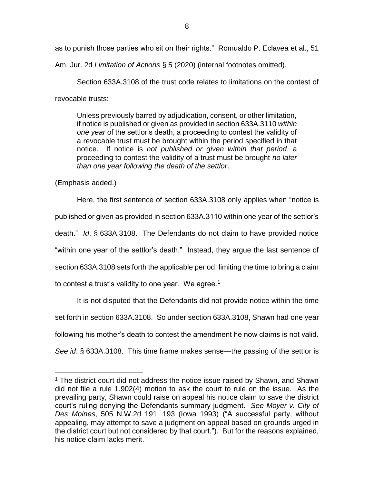as to punish those parties who sit on their rights." Romualdo P. Eclavea et al., 51

Am. Jur. 2d *Limitation of Actions* § 5 (2020) (internal footnotes omitted).

Section 633A.3108 of the trust code relates to limitations on the contest of revocable trusts:

Unless previously barred by adjudication, consent, or other limitation, if notice is published or given as provided in section 633A.3110 *within one year* of the settlor's death, a proceeding to contest the validity of a revocable trust must be brought within the period specified in that notice. If notice is *not published or given within that period*, a proceeding to contest the validity of a trust must be brought *no later than one year following the death of the settlor*.

(Emphasis added.)

 $\overline{a}$ 

Here, the first sentence of section 633A.3108 only applies when "notice is published or given as provided in section 633A.3110 within one year of the settlor's death." *Id*. § 633A.3108. The Defendants do not claim to have provided notice "within one year of the settlor's death." Instead, they argue the last sentence of section 633A.3108 sets forth the applicable period, limiting the time to bring a claim to contest a trust's validity to one year. We agree.<sup>1</sup>

It is not disputed that the Defendants did not provide notice within the time set forth in section 633A.3108. So under section 633A.3108, Shawn had one year following his mother's death to contest the amendment he now claims is not valid. *See id*. § 633A.3108. This time frame makes sense—the passing of the settlor is

 $1$  The district court did not address the notice issue raised by Shawn, and Shawn did not file a rule 1.902(4) motion to ask the court to rule on the issue. As the prevailing party, Shawn could raise on appeal his notice claim to save the district court's ruling denying the Defendants summary judgment. *See Moyer v. City of Des Moines*, 505 N.W.2d 191, 193 (Iowa 1993) ("A successful party, without appealing, may attempt to save a judgment on appeal based on grounds urged in the district court but not considered by that court."). But for the reasons explained, his notice claim lacks merit.